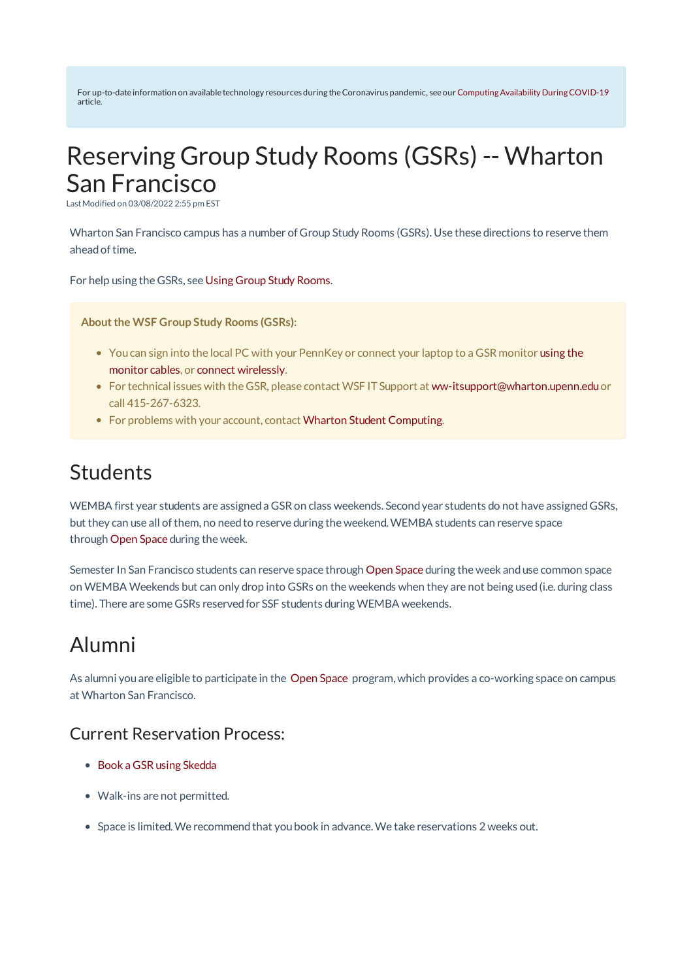For up-to-date information on available technology resources during theCoronavirus pandemic, see our ComputingAvailability DuringCOVID-19 article.

# Reserving Group Study Rooms (GSRs) -- Wharton San Francisco

LastModified on 03/08/2022 2:55 pm EST

Wharton San Francisco campus has a number of Group Study Rooms (GSRs). Use these directions to reserve them ahead of time.

For help using the GSRs, see Using Group Study Rooms.

**Aboutthe WSF Group Study Rooms (GSRs):**

- You can sign into the local PC with your PennKey or connect your laptop to a GSR monitor using the monitor cables, or connect wirelessly.
- For technical issues with the GSR, please contact WSF IT Support at ww-itsupport@wharton.upenn.edu or call 415-267-6323.
- For problems with your account, contact Wharton Student Computing.

#### Students

WEMBA first year students are assigned a GSR on class weekends. Second year students do not have assigned GSRs, but they can use all ofthem, no needto reserve during the weekend.WEMBA students can reserve space through Open Space during the week.

Semester In San Francisco students can reserve space through Open Space during the week anduse common space on WEMBA Weekends but can only drop into GSRs on the weekends when they are not being used(i.e. during class time). There are some GSRs reserved for SSF students during WEMBA weekends.

### Alumni

As alumni youare eligible to participate in the Open Space program, which provides a co-working space on campus at Wharton San Francisco.

#### Current Reservation Process:

- Book a GSR using Skedda
- Walk-ins are not permitted.
- Space is limited.We recommendthat youbook in advance.We take reservations 2 weeks out.